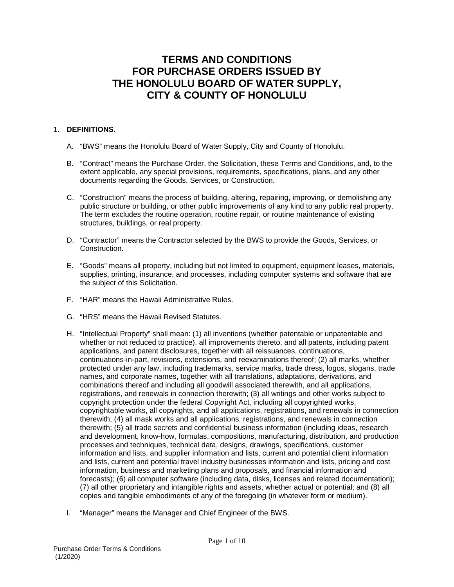# **TERMS AND CONDITIONS FOR PURCHASE ORDERS ISSUED BY THE HONOLULU BOARD OF WATER SUPPLY, CITY & COUNTY OF HONOLULU**

## 1. **DEFINITIONS.**

- A. "BWS" means the Honolulu Board of Water Supply, City and County of Honolulu.
- B. "Contract" means the Purchase Order, the Solicitation, these Terms and Conditions, and, to the extent applicable, any special provisions, requirements, specifications, plans, and any other documents regarding the Goods, Services, or Construction.
- C. "Construction" means the process of building, altering, repairing, improving, or demolishing any public structure or building, or other public improvements of any kind to any public real property. The term excludes the routine operation, routine repair, or routine maintenance of existing structures, buildings, or real property.
- D. "Contractor" means the Contractor selected by the BWS to provide the Goods, Services, or Construction.
- E. "Goods" means all property, including but not limited to equipment, equipment leases, materials, supplies, printing, insurance, and processes, including computer systems and software that are the subject of this Solicitation.
- F. "HAR" means the Hawaii Administrative Rules.
- G. "HRS" means the Hawaii Revised Statutes.
- H. "Intellectual Property" shall mean: (1) all inventions (whether patentable or unpatentable and whether or not reduced to practice), all improvements thereto, and all patents, including patent applications, and patent disclosures, together with all reissuances, continuations, continuations-in-part, revisions, extensions, and reexaminations thereof; (2) all marks, whether protected under any law, including trademarks, service marks, trade dress, logos, slogans, trade names, and corporate names, together with all translations, adaptations, derivations, and combinations thereof and including all goodwill associated therewith, and all applications, registrations, and renewals in connection therewith; (3) all writings and other works subject to copyright protection under the federal Copyright Act, including all copyrighted works, copyrightable works, all copyrights, and all applications, registrations, and renewals in connection therewith; (4) all mask works and all applications, registrations, and renewals in connection therewith; (5) all trade secrets and confidential business information (including ideas, research and development, know-how, formulas, compositions, manufacturing, distribution, and production processes and techniques, technical data, designs, drawings, specifications, customer information and lists, and supplier information and lists, current and potential client information and lists, current and potential travel industry businesses information and lists, pricing and cost information, business and marketing plans and proposals, and financial information and forecasts); (6) all computer software (including data, disks, licenses and related documentation); (7) all other proprietary and intangible rights and assets, whether actual or potential; and (8) all copies and tangible embodiments of any of the foregoing (in whatever form or medium).
- I. "Manager" means the Manager and Chief Engineer of the BWS.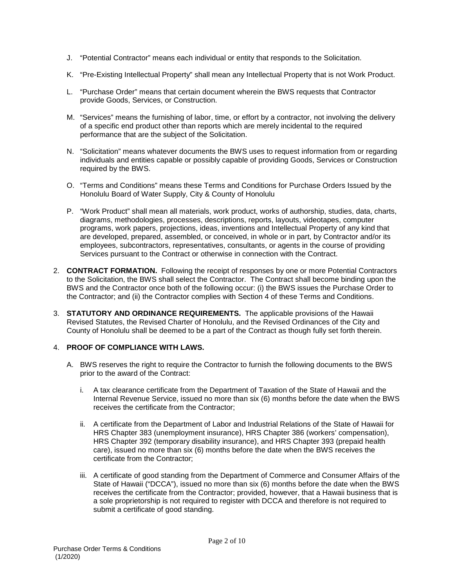- J. "Potential Contractor" means each individual or entity that responds to the Solicitation.
- K. "Pre-Existing Intellectual Property" shall mean any Intellectual Property that is not Work Product.
- L. "Purchase Order" means that certain document wherein the BWS requests that Contractor provide Goods, Services, or Construction.
- M. "Services" means the furnishing of labor, time, or effort by a contractor, not involving the delivery of a specific end product other than reports which are merely incidental to the required performance that are the subject of the Solicitation.
- N. "Solicitation" means whatever documents the BWS uses to request information from or regarding individuals and entities capable or possibly capable of providing Goods, Services or Construction required by the BWS.
- O. "Terms and Conditions" means these Terms and Conditions for Purchase Orders Issued by the Honolulu Board of Water Supply, City & County of Honolulu
- P. "Work Product" shall mean all materials, work product, works of authorship, studies, data, charts, diagrams, methodologies, processes, descriptions, reports, layouts, videotapes, computer programs, work papers, projections, ideas, inventions and Intellectual Property of any kind that are developed, prepared, assembled, or conceived, in whole or in part, by Contractor and/or its employees, subcontractors, representatives, consultants, or agents in the course of providing Services pursuant to the Contract or otherwise in connection with the Contract.
- 2. **CONTRACT FORMATION.** Following the receipt of responses by one or more Potential Contractors to the Solicitation, the BWS shall select the Contractor. The Contract shall become binding upon the BWS and the Contractor once both of the following occur: (i) the BWS issues the Purchase Order to the Contractor; and (ii) the Contractor complies with Section 4 of these Terms and Conditions.
- 3. **STATUTORY AND ORDINANCE REQUIREMENTS.** The applicable provisions of the Hawaii Revised Statutes, the Revised Charter of Honolulu, and the Revised Ordinances of the City and County of Honolulu shall be deemed to be a part of the Contract as though fully set forth therein.

#### 4. **PROOF OF COMPLIANCE WITH LAWS.**

- A. BWS reserves the right to require the Contractor to furnish the following documents to the BWS prior to the award of the Contract:
	- i. A tax clearance certificate from the Department of Taxation of the State of Hawaii and the Internal Revenue Service, issued no more than six (6) months before the date when the BWS receives the certificate from the Contractor;
	- ii. A certificate from the Department of Labor and Industrial Relations of the State of Hawaii for HRS Chapter 383 (unemployment insurance), HRS Chapter 386 (workers' compensation), HRS Chapter 392 (temporary disability insurance), and HRS Chapter 393 (prepaid health care), issued no more than six (6) months before the date when the BWS receives the certificate from the Contractor;
	- iii. A certificate of good standing from the Department of Commerce and Consumer Affairs of the State of Hawaii ("DCCA"), issued no more than six (6) months before the date when the BWS receives the certificate from the Contractor; provided, however, that a Hawaii business that is a sole proprietorship is not required to register with DCCA and therefore is not required to submit a certificate of good standing.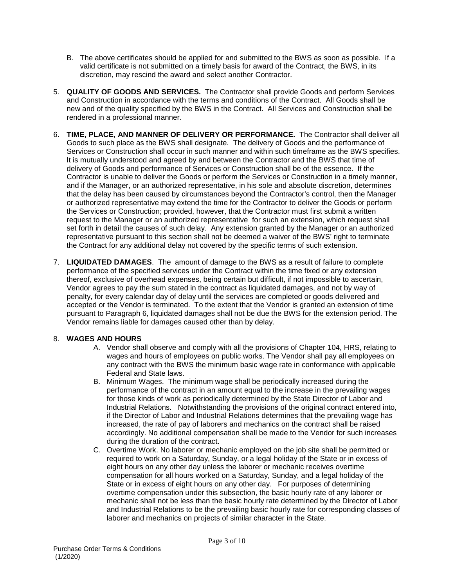- B. The above certificates should be applied for and submitted to the BWS as soon as possible. If a valid certificate is not submitted on a timely basis for award of the Contract, the BWS, in its discretion, may rescind the award and select another Contractor.
- 5. **QUALITY OF GOODS AND SERVICES.** The Contractor shall provide Goods and perform Services and Construction in accordance with the terms and conditions of the Contract. All Goods shall be new and of the quality specified by the BWS in the Contract. All Services and Construction shall be rendered in a professional manner.
- 6. **TIME, PLACE, AND MANNER OF DELIVERY OR PERFORMANCE.** The Contractor shall deliver all Goods to such place as the BWS shall designate. The delivery of Goods and the performance of Services or Construction shall occur in such manner and within such timeframe as the BWS specifies. It is mutually understood and agreed by and between the Contractor and the BWS that time of delivery of Goods and performance of Services or Construction shall be of the essence. If the Contractor is unable to deliver the Goods or perform the Services or Construction in a timely manner, and if the Manager, or an authorized representative, in his sole and absolute discretion, determines that the delay has been caused by circumstances beyond the Contractor's control, then the Manager or authorized representative may extend the time for the Contractor to deliver the Goods or perform the Services or Construction; provided, however, that the Contractor must first submit a written request to the Manager or an authorized representative for such an extension, which request shall set forth in detail the causes of such delay. Any extension granted by the Manager or an authorized representative pursuant to this section shall not be deemed a waiver of the BWS' right to terminate the Contract for any additional delay not covered by the specific terms of such extension.
- 7. **LIQUIDATED DAMAGES**. The amount of damage to the BWS as a result of failure to complete performance of the specified services under the Contract within the time fixed or any extension thereof, exclusive of overhead expenses, being certain but difficult, if not impossible to ascertain, Vendor agrees to pay the sum stated in the contract as liquidated damages, and not by way of penalty, for every calendar day of delay until the services are completed or goods delivered and accepted or the Vendor is terminated. To the extent that the Vendor is granted an extension of time pursuant to Paragraph 6, liquidated damages shall not be due the BWS for the extension period. The Vendor remains liable for damages caused other than by delay.

## 8. **WAGES AND HOURS**

- A. Vendor shall observe and comply with all the provisions of Chapter 104, HRS, relating to wages and hours of employees on public works. The Vendor shall pay all employees on any contract with the BWS the minimum basic wage rate in conformance with applicable Federal and State laws.
- B. Minimum Wages. The minimum wage shall be periodically increased during the performance of the contract in an amount equal to the increase in the prevailing wages for those kinds of work as periodically determined by the State Director of Labor and Industrial Relations. Notwithstanding the provisions of the original contract entered into, if the Director of Labor and Industrial Relations determines that the prevailing wage has increased, the rate of pay of laborers and mechanics on the contract shall be raised accordingly. No additional compensation shall be made to the Vendor for such increases during the duration of the contract.
- C. Overtime Work. No laborer or mechanic employed on the job site shall be permitted or required to work on a Saturday, Sunday, or a legal holiday of the State or in excess of eight hours on any other day unless the laborer or mechanic receives overtime compensation for all hours worked on a Saturday, Sunday, and a legal holiday of the State or in excess of eight hours on any other day. For purposes of determining overtime compensation under this subsection, the basic hourly rate of any laborer or mechanic shall not be less than the basic hourly rate determined by the Director of Labor and Industrial Relations to be the prevailing basic hourly rate for corresponding classes of laborer and mechanics on projects of similar character in the State.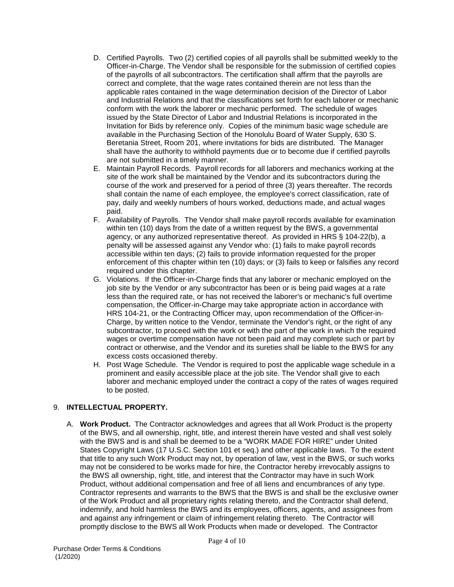- D. Certified Payrolls. Two (2) certified copies of all payrolls shall be submitted weekly to the Officer-in-Charge. The Vendor shall be responsible for the submission of certified copies of the payrolls of all subcontractors. The certification shall affirm that the payrolls are correct and complete, that the wage rates contained therein are not less than the applicable rates contained in the wage determination decision of the Director of Labor and Industrial Relations and that the classifications set forth for each laborer or mechanic conform with the work the laborer or mechanic performed. The schedule of wages issued by the State Director of Labor and Industrial Relations is incorporated in the Invitation for Bids by reference only. Copies of the minimum basic wage schedule are available in the Purchasing Section of the Honolulu Board of Water Supply, 630 S. Beretania Street, Room 201, where invitations for bids are distributed. The Manager shall have the authority to withhold payments due or to become due if certified payrolls are not submitted in a timely manner.
- E. Maintain Payroll Records. Payroll records for all laborers and mechanics working at the site of the work shall be maintained by the Vendor and its subcontractors during the course of the work and preserved for a period of three (3) years thereafter. The records shall contain the name of each employee, the employee's correct classification, rate of pay, daily and weekly numbers of hours worked, deductions made, and actual wages paid.
- F. Availability of Payrolls. The Vendor shall make payroll records available for examination within ten (10) days from the date of a written request by the BWS, a governmental agency, or any authorized representative thereof. As provided in HRS § 104-22(b), a penalty will be assessed against any Vendor who: (1) fails to make payroll records accessible within ten days; (2) fails to provide information requested for the proper enforcement of this chapter within ten (10) days; or (3) fails to keep or falsifies any record required under this chapter.
- G. Violations. If the Officer-in-Charge finds that any laborer or mechanic employed on the job site by the Vendor or any subcontractor has been or is being paid wages at a rate less than the required rate, or has not received the laborer's or mechanic's full overtime compensation, the Officer-in-Charge may take appropriate action in accordance with HRS 104-21, or the Contracting Officer may, upon recommendation of the Officer-in-Charge, by written notice to the Vendor, terminate the Vendor's right, or the right of any subcontractor, to proceed with the work or with the part of the work in which the required wages or overtime compensation have not been paid and may complete such or part by contract or otherwise, and the Vendor and its sureties shall be liable to the BWS for any excess costs occasioned thereby.
- H. Post Wage Schedule. The Vendor is required to post the applicable wage schedule in a prominent and easily accessible place at the job site. The Vendor shall give to each laborer and mechanic employed under the contract a copy of the rates of wages required to be posted.

## 9. **INTELLECTUAL PROPERTY.**

A. **Work Product.** The Contractor acknowledges and agrees that all Work Product is the property of the BWS, and all ownership, right, title, and interest therein have vested and shall vest solely with the BWS and is and shall be deemed to be a "WORK MADE FOR HIRE" under United States Copyright Laws (17 U.S.C. Section 101 et seq.) and other applicable laws. To the extent that title to any such Work Product may not, by operation of law, vest in the BWS, or such works may not be considered to be works made for hire, the Contractor hereby irrevocably assigns to the BWS all ownership, right, title, and interest that the Contractor may have in such Work Product, without additional compensation and free of all liens and encumbrances of any type. Contractor represents and warrants to the BWS that the BWS is and shall be the exclusive owner of the Work Product and all proprietary rights relating thereto, and the Contractor shall defend, indemnify, and hold harmless the BWS and its employees, officers, agents, and assignees from and against any infringement or claim of infringement relating thereto. The Contractor will promptly disclose to the BWS all Work Products when made or developed. The Contractor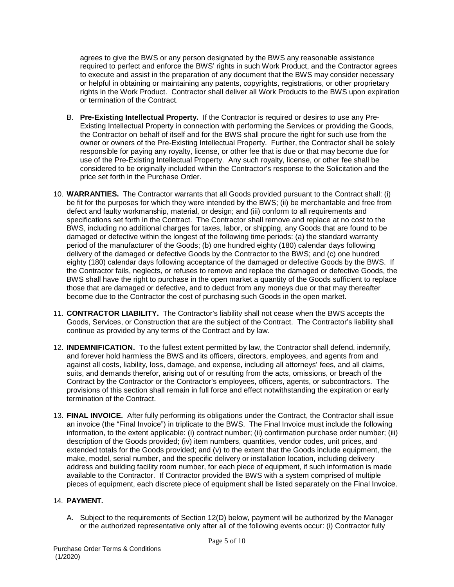agrees to give the BWS or any person designated by the BWS any reasonable assistance required to perfect and enforce the BWS' rights in such Work Product, and the Contractor agrees to execute and assist in the preparation of any document that the BWS may consider necessary or helpful in obtaining or maintaining any patents, copyrights, registrations, or other proprietary rights in the Work Product. Contractor shall deliver all Work Products to the BWS upon expiration or termination of the Contract.

- B. **Pre-Existing Intellectual Property.** If the Contractor is required or desires to use any Pre-Existing Intellectual Property in connection with performing the Services or providing the Goods, the Contractor on behalf of itself and for the BWS shall procure the right for such use from the owner or owners of the Pre-Existing Intellectual Property. Further, the Contractor shall be solely responsible for paying any royalty, license, or other fee that is due or that may become due for use of the Pre-Existing Intellectual Property. Any such royalty, license, or other fee shall be considered to be originally included within the Contractor's response to the Solicitation and the price set forth in the Purchase Order.
- 10. **WARRANTIES.** The Contractor warrants that all Goods provided pursuant to the Contract shall: (i) be fit for the purposes for which they were intended by the BWS; (ii) be merchantable and free from defect and faulty workmanship, material, or design; and (iii) conform to all requirements and specifications set forth in the Contract. The Contractor shall remove and replace at no cost to the BWS, including no additional charges for taxes, labor, or shipping, any Goods that are found to be damaged or defective within the longest of the following time periods: (a) the standard warranty period of the manufacturer of the Goods; (b) one hundred eighty (180) calendar days following delivery of the damaged or defective Goods by the Contractor to the BWS; and (c) one hundred eighty (180) calendar days following acceptance of the damaged or defective Goods by the BWS. If the Contractor fails, neglects, or refuses to remove and replace the damaged or defective Goods, the BWS shall have the right to purchase in the open market a quantity of the Goods sufficient to replace those that are damaged or defective, and to deduct from any moneys due or that may thereafter become due to the Contractor the cost of purchasing such Goods in the open market.
- 11. **CONTRACTOR LIABILITY.** The Contractor's liability shall not cease when the BWS accepts the Goods, Services, or Construction that are the subject of the Contract. The Contractor's liability shall continue as provided by any terms of the Contract and by law.
- 12. **INDEMNIFICATION.** To the fullest extent permitted by law, the Contractor shall defend, indemnify, and forever hold harmless the BWS and its officers, directors, employees, and agents from and against all costs, liability, loss, damage, and expense, including all attorneys' fees, and all claims, suits, and demands therefor, arising out of or resulting from the acts, omissions, or breach of the Contract by the Contractor or the Contractor's employees, officers, agents, or subcontractors. The provisions of this section shall remain in full force and effect notwithstanding the expiration or early termination of the Contract.
- 13. **FINAL INVOICE.** After fully performing its obligations under the Contract, the Contractor shall issue an invoice (the "Final Invoice") in triplicate to the BWS. The Final Invoice must include the following information, to the extent applicable: (i) contract number; (ii) confirmation purchase order number; (iii) description of the Goods provided; (iv) item numbers, quantities, vendor codes, unit prices, and extended totals for the Goods provided; and (v) to the extent that the Goods include equipment, the make, model, serial number, and the specific delivery or installation location, including delivery address and building facility room number, for each piece of equipment, if such information is made available to the Contractor. If Contractor provided the BWS with a system comprised of multiple pieces of equipment, each discrete piece of equipment shall be listed separately on the Final Invoice.

## 14. **PAYMENT.**

A. Subject to the requirements of Section 12(D) below, payment will be authorized by the Manager or the authorized representative only after all of the following events occur: (i) Contractor fully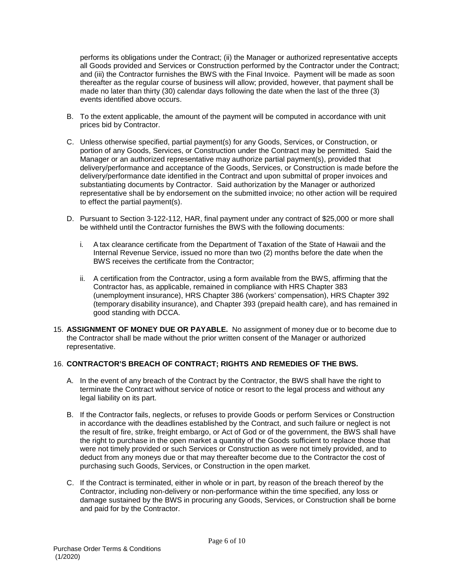performs its obligations under the Contract; (ii) the Manager or authorized representative accepts all Goods provided and Services or Construction performed by the Contractor under the Contract; and (iii) the Contractor furnishes the BWS with the Final Invoice. Payment will be made as soon thereafter as the regular course of business will allow; provided, however, that payment shall be made no later than thirty (30) calendar days following the date when the last of the three (3) events identified above occurs.

- B. To the extent applicable, the amount of the payment will be computed in accordance with unit prices bid by Contractor.
- C. Unless otherwise specified, partial payment(s) for any Goods, Services, or Construction, or portion of any Goods, Services, or Construction under the Contract may be permitted. Said the Manager or an authorized representative may authorize partial payment(s), provided that delivery/performance and acceptance of the Goods, Services, or Construction is made before the delivery/performance date identified in the Contract and upon submittal of proper invoices and substantiating documents by Contractor. Said authorization by the Manager or authorized representative shall be by endorsement on the submitted invoice; no other action will be required to effect the partial payment(s).
- D. Pursuant to Section 3-122-112, HAR, final payment under any contract of \$25,000 or more shall be withheld until the Contractor furnishes the BWS with the following documents:
	- i. A tax clearance certificate from the Department of Taxation of the State of Hawaii and the Internal Revenue Service, issued no more than two (2) months before the date when the BWS receives the certificate from the Contractor;
	- ii. A certification from the Contractor, using a form available from the BWS, affirming that the Contractor has, as applicable, remained in compliance with HRS Chapter 383 (unemployment insurance), HRS Chapter 386 (workers' compensation), HRS Chapter 392 (temporary disability insurance), and Chapter 393 (prepaid health care), and has remained in good standing with DCCA.
- 15. **ASSIGNMENT OF MONEY DUE OR PAYABLE.** No assignment of money due or to become due to the Contractor shall be made without the prior written consent of the Manager or authorized representative.

#### 16. **CONTRACTOR'S BREACH OF CONTRACT; RIGHTS AND REMEDIES OF THE BWS.**

- A. In the event of any breach of the Contract by the Contractor, the BWS shall have the right to terminate the Contract without service of notice or resort to the legal process and without any legal liability on its part.
- B. If the Contractor fails, neglects, or refuses to provide Goods or perform Services or Construction in accordance with the deadlines established by the Contract, and such failure or neglect is not the result of fire, strike, freight embargo, or Act of God or of the government, the BWS shall have the right to purchase in the open market a quantity of the Goods sufficient to replace those that were not timely provided or such Services or Construction as were not timely provided, and to deduct from any moneys due or that may thereafter become due to the Contractor the cost of purchasing such Goods, Services, or Construction in the open market.
- C. If the Contract is terminated, either in whole or in part, by reason of the breach thereof by the Contractor, including non-delivery or non-performance within the time specified, any loss or damage sustained by the BWS in procuring any Goods, Services, or Construction shall be borne and paid for by the Contractor.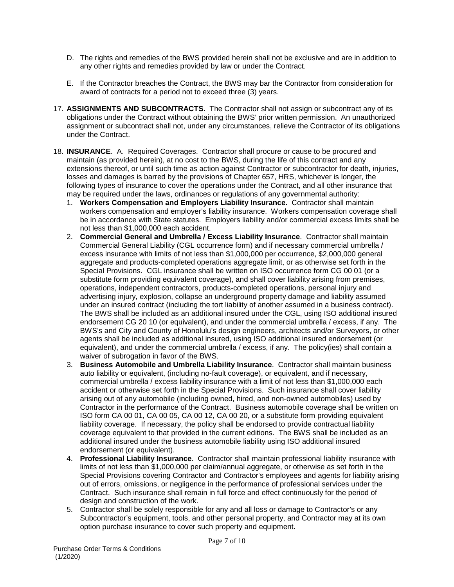- D. The rights and remedies of the BWS provided herein shall not be exclusive and are in addition to any other rights and remedies provided by law or under the Contract.
- E. If the Contractor breaches the Contract, the BWS may bar the Contractor from consideration for award of contracts for a period not to exceed three (3) years.
- 17. **ASSIGNMENTS AND SUBCONTRACTS.** The Contractor shall not assign or subcontract any of its obligations under the Contract without obtaining the BWS' prior written permission. An unauthorized assignment or subcontract shall not, under any circumstances, relieve the Contractor of its obligations under the Contract.
- 18. **INSURANCE**. A. Required Coverages. Contractor shall procure or cause to be procured and maintain (as provided herein), at no cost to the BWS, during the life of this contract and any extensions thereof, or until such time as action against Contractor or subcontractor for death, injuries, losses and damages is barred by the provisions of Chapter 657, HRS, whichever is longer, the following types of insurance to cover the operations under the Contract, and all other insurance that may be required under the laws, ordinances or regulations of any governmental authority:
	- 1. **Workers Compensation and Employers Liability Insurance.** Contractor shall maintain workers compensation and employer's liability insurance. Workers compensation coverage shall be in accordance with State statutes. Employers liability and/or commercial excess limits shall be not less than \$1,000,000 each accident.
	- 2. **Commercial General and Umbrella / Excess Liability Insurance**. Contractor shall maintain Commercial General Liability (CGL occurrence form) and if necessary commercial umbrella / excess insurance with limits of not less than \$1,000,000 per occurrence, \$2,000,000 general aggregate and products-completed operations aggregate limit, or as otherwise set forth in the Special Provisions. CGL insurance shall be written on ISO occurrence form CG 00 01 (or a substitute form providing equivalent coverage), and shall cover liability arising from premises, operations, independent contractors, products-completed operations, personal injury and advertising injury, explosion, collapse an underground property damage and liability assumed under an insured contract (including the tort liability of another assumed in a business contract). The BWS shall be included as an additional insured under the CGL, using ISO additional insured endorsement CG 20 10 (or equivalent), and under the commercial umbrella / excess, if any. The BWS's and City and County of Honolulu's design engineers, architects and/or Surveyors, or other agents shall be included as additional insured, using ISO additional insured endorsement (or equivalent), and under the commercial umbrella / excess, if any. The policy(ies) shall contain a waiver of subrogation in favor of the BWS.
	- 3. **Business Automobile and Umbrella Liability Insurance**. Contractor shall maintain business auto liability or equivalent, (including no-fault coverage), or equivalent, and if necessary, commercial umbrella / excess liability insurance with a limit of not less than \$1,000,000 each accident or otherwise set forth in the Special Provisions. Such insurance shall cover liability arising out of any automobile (including owned, hired, and non-owned automobiles) used by Contractor in the performance of the Contract. Business automobile coverage shall be written on ISO form CA 00 01, CA 00 05, CA 00 12, CA 00 20, or a substitute form providing equivalent liability coverage. If necessary, the policy shall be endorsed to provide contractual liability coverage equivalent to that provided in the current editions. The BWS shall be included as an additional insured under the business automobile liability using ISO additional insured endorsement (or equivalent).
	- 4. **Professional Liability Insurance**. Contractor shall maintain professional liability insurance with limits of not less than \$1,000,000 per claim/annual aggregate, or otherwise as set forth in the Special Provisions covering Contractor and Contractor's employees and agents for liability arising out of errors, omissions, or negligence in the performance of professional services under the Contract. Such insurance shall remain in full force and effect continuously for the period of design and construction of the work.
	- 5. Contractor shall be solely responsible for any and all loss or damage to Contractor's or any Subcontractor's equipment, tools, and other personal property, and Contractor may at its own option purchase insurance to cover such property and equipment.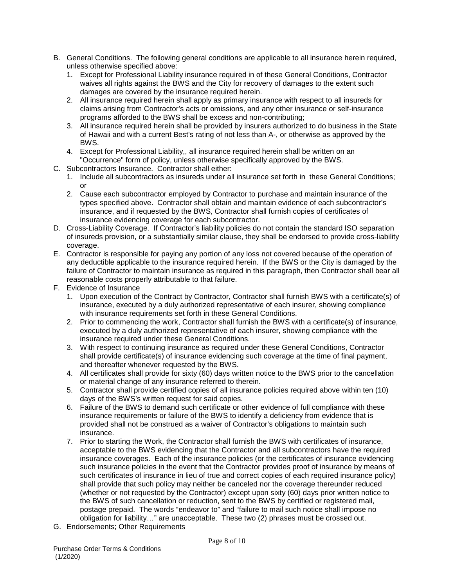- B. General Conditions. The following general conditions are applicable to all insurance herein required, unless otherwise specified above:
	- 1. Except for Professional Liability insurance required in of these General Conditions, Contractor waives all rights against the BWS and the City for recovery of damages to the extent such damages are covered by the insurance required herein.
	- 2. All insurance required herein shall apply as primary insurance with respect to all insureds for claims arising from Contractor's acts or omissions, and any other insurance or self-insurance programs afforded to the BWS shall be excess and non-contributing;
	- 3. All insurance required herein shall be provided by insurers authorized to do business in the State of Hawaii and with a current Best's rating of not less than A-, or otherwise as approved by the BWS.
	- 4. Except for Professional Liability,, all insurance required herein shall be written on an "Occurrence" form of policy, unless otherwise specifically approved by the BWS.
- C. Subcontractors Insurance. Contractor shall either:
	- 1. Include all subcontractors as insureds under all insurance set forth in these General Conditions; or
	- 2. Cause each subcontractor employed by Contractor to purchase and maintain insurance of the types specified above. Contractor shall obtain and maintain evidence of each subcontractor's insurance, and if requested by the BWS, Contractor shall furnish copies of certificates of insurance evidencing coverage for each subcontractor.
- D. Cross-Liability Coverage. If Contractor's liability policies do not contain the standard ISO separation of insureds provision, or a substantially similar clause, they shall be endorsed to provide cross-liability coverage.
- E. Contractor is responsible for paying any portion of any loss not covered because of the operation of any deductible applicable to the insurance required herein. If the BWS or the City is damaged by the failure of Contractor to maintain insurance as required in this paragraph, then Contractor shall bear all reasonable costs properly attributable to that failure.
- F. Evidence of Insurance
	- 1. Upon execution of the Contract by Contractor, Contractor shall furnish BWS with a certificate(s) of insurance, executed by a duly authorized representative of each insurer, showing compliance with insurance requirements set forth in these General Conditions.
	- 2. Prior to commencing the work, Contractor shall furnish the BWS with a certificate(s) of insurance, executed by a duly authorized representative of each insurer, showing compliance with the insurance required under these General Conditions.
	- 3. With respect to continuing insurance as required under these General Conditions, Contractor shall provide certificate(s) of insurance evidencing such coverage at the time of final payment, and thereafter whenever requested by the BWS.
	- 4. All certificates shall provide for sixty (60) days written notice to the BWS prior to the cancellation or material change of any insurance referred to therein.
	- 5. Contractor shall provide certified copies of all insurance policies required above within ten (10) days of the BWS's written request for said copies.
	- 6. Failure of the BWS to demand such certificate or other evidence of full compliance with these insurance requirements or failure of the BWS to identify a deficiency from evidence that is provided shall not be construed as a waiver of Contractor's obligations to maintain such insurance.
	- 7. Prior to starting the Work, the Contractor shall furnish the BWS with certificates of insurance, acceptable to the BWS evidencing that the Contractor and all subcontractors have the required insurance coverages. Each of the insurance policies (or the certificates of insurance evidencing such insurance policies in the event that the Contractor provides proof of insurance by means of such certificates of insurance in lieu of true and correct copies of each required insurance policy) shall provide that such policy may neither be canceled nor the coverage thereunder reduced (whether or not requested by the Contractor) except upon sixty (60) days prior written notice to the BWS of such cancellation or reduction, sent to the BWS by certified or registered mail, postage prepaid. The words "endeavor to" and "failure to mail such notice shall impose no obligation for liability…" are unacceptable. These two (2) phrases must be crossed out.
- G. Endorsements; Other Requirements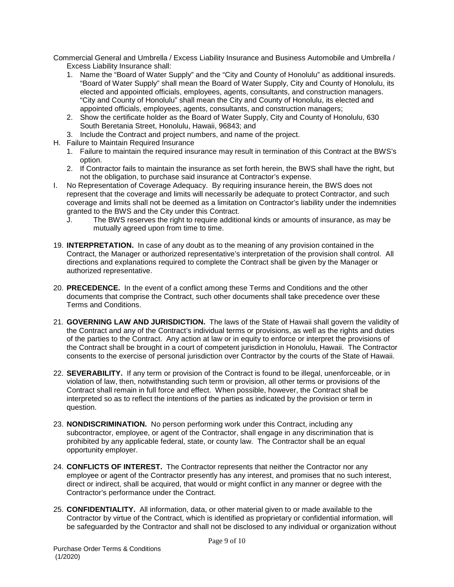Commercial General and Umbrella / Excess Liability Insurance and Business Automobile and Umbrella / Excess Liability Insurance shall:

- 1. Name the "Board of Water Supply" and the "City and County of Honolulu" as additional insureds. "Board of Water Supply" shall mean the Board of Water Supply, City and County of Honolulu, its elected and appointed officials, employees, agents, consultants, and construction managers. "City and County of Honolulu" shall mean the City and County of Honolulu, its elected and appointed officials, employees, agents, consultants, and construction managers;
- 2. Show the certificate holder as the Board of Water Supply, City and County of Honolulu, 630 South Beretania Street, Honolulu, Hawaii, 96843; and
- 3. Include the Contract and project numbers, and name of the project.
- H. Failure to Maintain Required Insurance
	- 1. Failure to maintain the required insurance may result in termination of this Contract at the BWS's option.
	- 2. If Contractor fails to maintain the insurance as set forth herein, the BWS shall have the right, but not the obligation, to purchase said insurance at Contractor's expense.
- I. No Representation of Coverage Adequacy. By requiring insurance herein, the BWS does not represent that the coverage and limits will necessarily be adequate to protect Contractor, and such coverage and limits shall not be deemed as a limitation on Contractor's liability under the indemnities granted to the BWS and the City under this Contract.
	- J. The BWS reserves the right to require additional kinds or amounts of insurance, as may be mutually agreed upon from time to time.
- 19. **INTERPRETATION.** In case of any doubt as to the meaning of any provision contained in the Contract, the Manager or authorized representative's interpretation of the provision shall control. All directions and explanations required to complete the Contract shall be given by the Manager or authorized representative.
- 20. **PRECEDENCE.** In the event of a conflict among these Terms and Conditions and the other documents that comprise the Contract, such other documents shall take precedence over these Terms and Conditions.
- 21. **GOVERNING LAW AND JURISDICTION.** The laws of the State of Hawaii shall govern the validity of the Contract and any of the Contract's individual terms or provisions, as well as the rights and duties of the parties to the Contract. Any action at law or in equity to enforce or interpret the provisions of the Contract shall be brought in a court of competent jurisdiction in Honolulu, Hawaii. The Contractor consents to the exercise of personal jurisdiction over Contractor by the courts of the State of Hawaii.
- 22. **SEVERABILITY.** If any term or provision of the Contract is found to be illegal, unenforceable, or in violation of law, then, notwithstanding such term or provision, all other terms or provisions of the Contract shall remain in full force and effect. When possible, however, the Contract shall be interpreted so as to reflect the intentions of the parties as indicated by the provision or term in question.
- 23. **NONDISCRIMINATION.** No person performing work under this Contract, including any subcontractor, employee, or agent of the Contractor, shall engage in any discrimination that is prohibited by any applicable federal, state, or county law. The Contractor shall be an equal opportunity employer.
- 24. **CONFLICTS OF INTEREST.** The Contractor represents that neither the Contractor nor any employee or agent of the Contractor presently has any interest, and promises that no such interest, direct or indirect, shall be acquired, that would or might conflict in any manner or degree with the Contractor's performance under the Contract.
- 25. **CONFIDENTIALITY.** All information, data, or other material given to or made available to the Contractor by virtue of the Contract, which is identified as proprietary or confidential information, will be safeguarded by the Contractor and shall not be disclosed to any individual or organization without